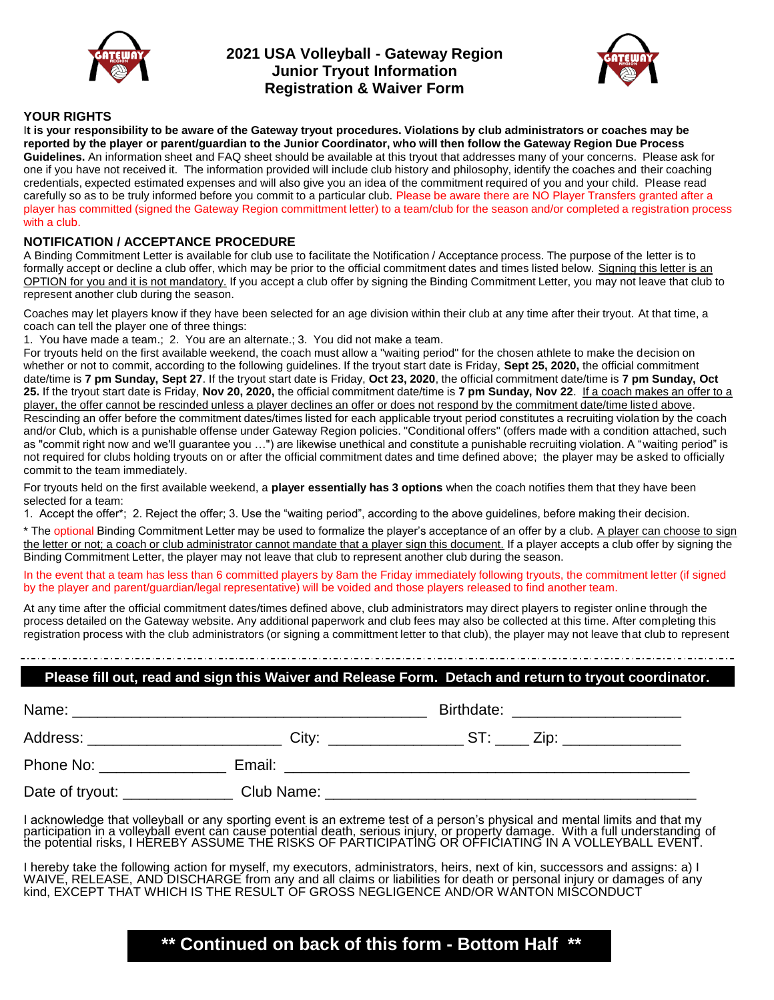

## **2021 USA Volleyball - Gateway Region Junior Tryout Information Registration & Waiver Form**



## **YOUR RIGHTS**

I**t is your responsibility to be aware of the Gateway tryout procedures. Violations by club administrators or coaches may be reported by the player or parent/guardian to the Junior Coordinator, who will then follow the Gateway Region Due Process Guidelines.** An information sheet and FAQ sheet should be available at this tryout that addresses many of your concerns. Please ask for one if you have not received it. The information provided will include club history and philosophy, identify the coaches and their coaching credentials, expected estimated expenses and will also give you an idea of the commitment required of you and your child. Please read carefully so as to be truly informed before you commit to a particular club. Please be aware there are NO Player Transfers granted after a player has committed (signed the Gateway Region committment letter) to a team/club for the season and/or completed a registration process with a club.

## **NOTIFICATION / ACCEPTANCE PROCEDURE**

A Binding Commitment Letter is available for club use to facilitate the Notification / Acceptance process. The purpose of the letter is to formally accept or decline a club offer, which may be prior to the official commitment dates and times listed below. Signing this letter is an OPTION for you and it is not mandatory. If you accept a club offer by signing the Binding Commitment Letter, you may not leave that club to represent another club during the season.

Coaches may let players know if they have been selected for an age division within their club at any time after their tryout. At that time, a coach can tell the player one of three things:

1. You have made a team.; 2. You are an alternate.; 3. You did not make a team.

For tryouts held on the first available weekend, the coach must allow a "waiting period" for the chosen athlete to make the decision on whether or not to commit, according to the following guidelines. If the tryout start date is Friday, **Sept 25, 2020,** the official commitment date/time is **7 pm Sunday, Sept 27**. If the tryout start date is Friday, **Oct 23, 2020**, the official commitment date/time is **7 pm Sunday, Oct 25.** If the tryout start date is Friday, **Nov 20, 2020,** the official commitment date/time is **7 pm Sunday, Nov 22**. If a coach makes an offer to a player, the offer cannot be rescinded unless a player declines an offer or does not respond by the commitment date/time listed above. Rescinding an offer before the commitment dates/times listed for each applicable tryout period constitutes a recruiting violation by the coach and/or Club, which is a punishable offense under Gateway Region policies. "Conditional offers" (offers made with a condition attached, such as "commit right now and we'll guarantee you …") are likewise unethical and constitute a punishable recruiting violation. A "waiting period" is not required for clubs holding tryouts on or after the official commitment dates and time defined above; the player may be asked to officially commit to the team immediately.

For tryouts held on the first available weekend, a **player essentially has 3 options** when the coach notifies them that they have been selected for a team:

1. Accept the offer\*; 2. Reject the offer; 3. Use the "waiting period", according to the above guidelines, before making their decision.

\* The optional Binding Commitment Letter may be used to formalize the player's acceptance of an offer by a club. A player can choose to sign the letter or not; a coach or club administrator cannot mandate that a player sign this document. If a player accepts a club offer by signing the Binding Commitment Letter, the player may not leave that club to represent another club during the season.

In the event that a team has less than 6 committed players by 8am the Friday immediately following tryouts, the commitment letter (if signed by the player and parent/guardian/legal representative) will be voided and those players released to find another team.

At any time after the official commitment dates/times defined above, club administrators may direct players to register online through the process detailed on the Gateway website. Any additional paperwork and club fees may also be collected at this time. After completing this registration process with the club administrators (or signing a committment letter to that club), the player may not leave that club to represent

# **Please fill out, read and sign this Waiver and Release Form. Detach and return to tryout coordinator.**

| Name:                                                                                                                                                                                                                          |            | Birthdate: The Contract of the Contract of the Contract of the Contract of the Contract of the Contract of the |
|--------------------------------------------------------------------------------------------------------------------------------------------------------------------------------------------------------------------------------|------------|----------------------------------------------------------------------------------------------------------------|
| Address: Analysis and the set of the set of the set of the set of the set of the set of the set of the set of the set of the set of the set of the set of the set of the set of the set of the set of the set of the set of th | City:      | ST: Zip:                                                                                                       |
| Phone No:                                                                                                                                                                                                                      | Email:     |                                                                                                                |
| Date of tryout:                                                                                                                                                                                                                | Club Name: |                                                                                                                |

I acknowledge that volleyball or any sporting event is an extreme test of a person's physical and mental limits and that my participation in a volleyball event can cause potential death, serious injury, or property damage. With a full understanding of the potential risks, I HEREBY ASSUME THE RISKS OF PARTICIPATING OR OFFICIATING IN A VOLLEYBALL EVENT.

I hereby take the following action for myself, my executors, administrators, heirs, next of kin, successors and assigns: a) I WAIVE, RELEASE, AND DISCHARGE from any and all claims or liabilities for death or personal injury or damages of any kind, EXCEPT THAT WHICH IS THE RESULT OF GROSS NEGLIGENCE AND/OR WANTON MISCONDUCT

# **\*\* Continued on back of this form - Bottom Half \*\***